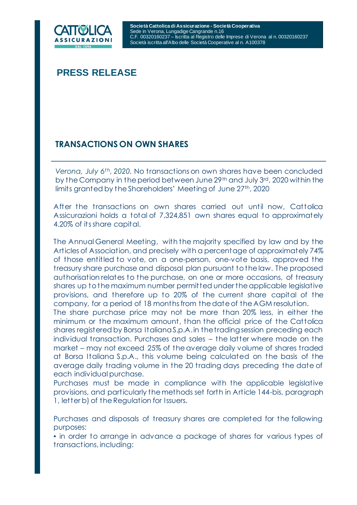

# **PRESS RELEASE**

## **TRANSACTIONS ON OWN SHARES**

*Verona, July 6th, 2020.* No transactions on own shares have been concluded by the Company in the period between June 29th and July 3rd, 2020 within the limits granted by the Shareholders' Meeting of June 27<sup>th</sup>, 2020

After the transactions on own shares carried out until now, Cattolica Assicurazioni holds a total of 7,324,851 own shares equal to approximately 4.20% of its share capital.

The Annual General Meeting, with the majority specified by law and by the Articles of Association, and precisely with a percentage of approximately 74% of those entitled to vote, on a one-person, one-vote basis, approved the treasury share purchase and disposal plan pursuant to the law. The proposed authorisation relates to the purchase, on one or more occasions, of treasury shares up to the maximum number permitted under the applicable legislative provisions, and therefore up to 20% of the current share capital of the company, for a period of 18 months from the date of the AGM resolution.

The share purchase price may not be more than 20% less, in either the minimum or the maximum amount, than the official price of the Cattolica shares registered by Borsa Italiana S.p.A. in the trading session preceding each individual transaction. Purchases and sales – the latter where made on the market – may not exceed 25% of the average daily volume of shares traded at Borsa Italiana S.p.A., this volume being calculated on the basis of the average daily trading volume in the 20 trading days preceding the date of each individual purchase.

Purchases must be made in compliance with the applicable legislative provisions, and particularly the methods set forth in Article 144-bis, paragraph 1, letter b) of the Regulation for Issuers.

Purchases and disposals of treasury shares are completed for the following purposes:

▪ in order to arrange in advance a package of shares for various types of transactions, including: